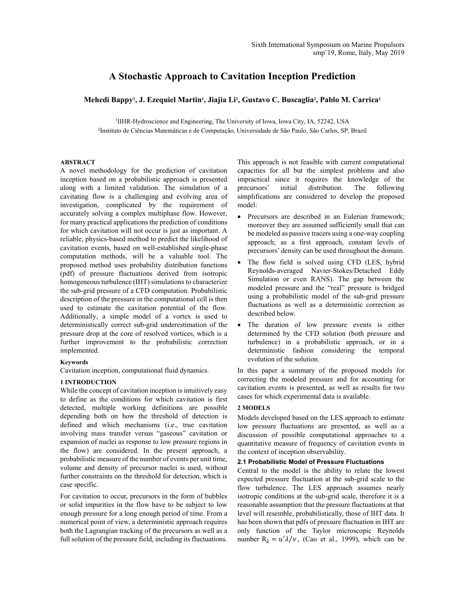# **A Stochastic Approach to Cavitation Inception Prediction**

# **Mehedi Bappy1 , J. Ezequiel Martin1 , Jiajia Li1 , Gustavo C. Buscaglia2 , Pablo M. Carrica1**

<sup>1</sup>IIHR-Hydroscience and Engineering, The University of Iowa, Iowa City, IA, 52242, USA 2Instituto de Ciências Matemáticas e de Computação, Universidade de São Paulo, São Carlos, SP, Brazil

# **ABSTRACT**

A novel methodology for the prediction of cavitation inception based on a probabilistic approach is presented along with a limited validation. The simulation of a cavitating flow is a challenging and evolving area of investigation, complicated by the requirement of accurately solving a complex multiphase flow. However, for many practical applications the prediction of conditions for which cavitation will not occur is just as important. A reliable, physics-based method to predict the likelihood of cavitation events, based on well-established single-phase computation methods, will be a valuable tool. The proposed method uses probability distribution functions (pdf) of pressure fluctuations derived from isotropic homogeneous turbulence (IHT) simulations to characterize the sub-grid pressure of a CFD computation. Probabilistic description of the pressure in the computational cell is then used to estimate the cavitation potential of the flow. Additionally, a simple model of a vortex is used to deterministically correct sub-grid underestimation of the pressure drop at the core of resolved vortices, which is a further improvement to the probabilistic correction implemented.

# **Keywords**

Cavitation inception, computational fluid dynamics.

## **1 INTRODUCTION**

While the concept of cavitation inception is intuitively easy to define as the conditions for which cavitation is first detected, multiple working definitions are possible depending both on how the threshold of detection is defined and which mechanisms (i.e., true cavitation involving mass transfer versus "gaseous" cavitation or expansion of nuclei as response to low pressure regions in the flow) are considered. In the present approach, a probabilistic measure of the number of events per unit time, volume and density of precursor nuclei is used, without further constraints on the threshold for detection, which is case specific.

For cavitation to occur, precursors in the form of bubbles or solid impurities in the flow have to be subject to low enough pressure for a long enough period of time. From a numerical point of view, a deterministic approach requires both the Lagrangian tracking of the precursors as well as a full solution of the pressure field, including its fluctuations.

This approach is not feasible with current computational capacities for all but the simplest problems and also impractical since it requires the knowledge of the precursors' initial distribution. The following simplifications are considered to develop the proposed model:

- Precursors are described in an Eulerian framework; moreover they are assumed sufficiently small that can be modeled as passive tracers using a one-way coupling approach; as a first approach, constant levels of precursors' density can be used throughout the domain.
- The flow field is solved using CFD (LES, hybrid Reynolds-averaged Navier-Stokes/Detached Eddy Simulation or even RANS). The gap between the modeled pressure and the "real" pressure is bridged using a probabilistic model of the sub-grid pressure fluctuations as well as a deterministic correction as described below.
- The duration of low pressure events is either determined by the CFD solution (both pressure and turbulence) in a probabilistic approach, or in a deterministic fashion considering the temporal evolution of the solution.

In this paper a summary of the proposed models for correcting the modeled pressure and for accounting for cavitation events is presented, as well as results for two cases for which experimental data is available.

### **2 MODELS**

Models developed based on the LES approach to estimate low pressure fluctuations are presented, as well as a discussion of possible computational approaches to a quantitative measure of frequency of cavitation events in the context of inception observability.

### **2.1 Probabilistic Model of Pressure Fluctuations**

Central to the model is the ability to relate the lowest expected pressure fluctuation at the sub-grid scale to the flow turbulence. The LES approach assumes nearly isotropic conditions at the sub-grid scale, therefore it is a reasonable assumption that the pressure fluctuations at that level will resemble, probabilistically, those of IHT data. It has been shown that pdfs of pressure fluctuation in IHT are only function of the Taylor microscopic Reynolds number  $R_{\lambda} = u' \lambda / v$ , (Cao et al., 1999), which can be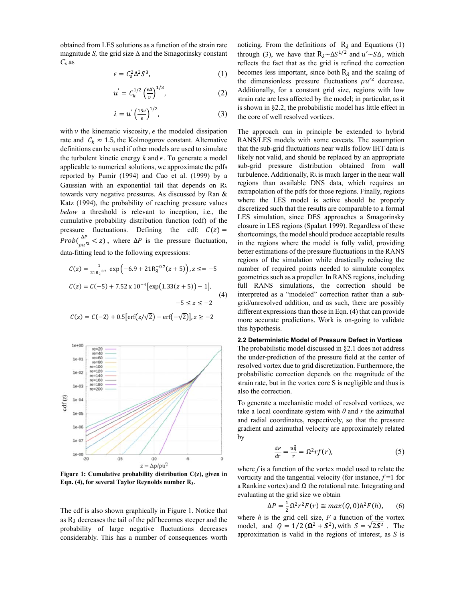obtained from LES solutions as a function of the strain rate magnitude *S*, the grid size  $\Delta$  and the Smagorinsky constant *C*s as

$$
\epsilon = C_s^2 \Delta^2 S^3,\tag{1}
$$

$$
u' = C_k^{1/2} \left(\frac{\epsilon \Delta}{v}\right)^{1/3},\tag{2}
$$

$$
\lambda = u' \left(\frac{15\nu}{\epsilon}\right)^{1/2},\tag{3}
$$

with  $\nu$  the kinematic viscosity,  $\epsilon$  the modeled dissipation rate and  $C_k \approx 1.5$ , the Kolmogorov constant. Alternative definitions can be used if other models are used to simulate the turbulent kinetic energy  $k$  and  $\epsilon$ . To generate a model applicable to numerical solutions, we approximate the pdfs reported by Pumir (1994) and Cao et al. (1999) by a Gaussian with an exponential tail that depends on  $R_{\lambda}$ towards very negative pressures. As discussed by Ran & Katz (1994), the probability of reaching pressure values *below* a threshold is relevant to inception, i.e., the cumulative probability distribution function (cdf) of the pressure fluctuations. Defining the cdf:  $C(z) =$ Prob( $\frac{\Delta P}{\rho u'^2}$  < z), where  $\Delta P$  is the pressure fluctuation, data-fitting lead to the following expressions:

$$
C(z) = \frac{1}{21R_{\lambda}^{-0.7}} \exp\left(-6.9 + 21R_{\lambda}^{-0.7}(z+5)\right), z \leq z - 5
$$
  

$$
C(z) = C(-5) + 7.52 \times 10^{-4} \left[\exp\left(1.33(z+5)\right) - 1\right],
$$
  

$$
-5 \leq z \leq -2
$$
 (4)

$$
C(z) = C(-2) + 0.5[\text{erf}(z/\sqrt{2}) - \text{erf}(-\sqrt{2})], z \ge -2
$$



**Figure 1: Cumulative probability distribution C(z), given in**  Eqn. (4), for several Taylor Reynolds number  $R_{\lambda}$ .

The cdf is also shown graphically in Figure 1. Notice that as  $R_{\lambda}$  decreases the tail of the pdf becomes steeper and the probability of large negative fluctuations decreases considerably. This has a number of consequences worth

noticing. From the definitions of  $R_{\lambda}$  and Equations (1) through (3), we have that  $R_{\lambda} \sim \Delta S^{1/2}$  and  $u' \sim S\Delta$ , which reflects the fact that as the grid is refined the correction becomes less important, since both  $R_{\lambda}$  and the scaling of the dimensionless pressure fluctuations  $\rho u'^2$  decrease. Additionally, for a constant grid size, regions with low strain rate are less affected by the model; in particular, as it is shown in §2.2, the probabilistic model has little effect in the core of well resolved vortices.

The approach can in principle be extended to hybrid RANS/LES models with some caveats. The assumption that the sub-grid fluctuations near walls follow IHT data is likely not valid, and should be replaced by an appropriate sub-grid pressure distribution obtained from wall turbulence. Additionally,  $R_{\lambda}$  is much larger in the near wall regions than available DNS data, which requires an extrapolation of the pdfs for those regions. Finally, regions where the LES model is active should be properly discretized such that the results are comparable to a formal LES simulation, since DES approaches a Smagorinsky closure in LES regions (Spalart 1999). Regardless of these shortcomings, the model should produce acceptable results in the regions where the model is fully valid, providing better estimations of the pressure fluctuations in the RANS regions of the simulation while drastically reducing the number of required points needed to simulate complex geometries such as a propeller. In RANS regions, including full RANS simulations, the correction should be interpreted as a "modeled" correction rather than a subgrid/unresolved addition, and as such, there are possibly different expressions than those in Eqn. (4) that can provide more accurate predictions. Work is on-going to validate this hypothesis.

# **2.2 Deterministic Model of Pressure Defect in Vortices**  The probabilistic model discussed in §2.1 does not address the under-prediction of the pressure field at the center of resolved vortex due to grid discretization. Furthermore, the probabilistic correction depends on the magnitude of the strain rate, but in the vortex core S is negligible and thus is also the correction.

To generate a mechanistic model of resolved vortices, we take a local coordinate system with *θ* and *r* the azimuthal and radial coordinates, respectively, so that the pressure gradient and azimuthal velocity are approximately related by

$$
\frac{dP}{dr} = \frac{u_{\theta}^2}{r} = \Omega^2 r f(r),\tag{5}
$$

where *f* is a function of the vortex model used to relate the vorticity and the tangential velocity (for instance,  $f = 1$  for a Rankine vortex) and  $\Omega$  the rotational rate. Integrating and evaluating at the grid size we obtain

$$
\Delta P = \frac{1}{2} \Omega^2 r^2 F(r) \cong max(Q, 0) h^2 F(h), \qquad (6)
$$

where  $h$  is the grid cell size,  $F$  a function of the vortex model, and  $Q = 1/2 (\Omega^2 + S^2)$ , with  $S = \sqrt{2S^2}$ . The approximation is valid in the regions of interest, as *S* is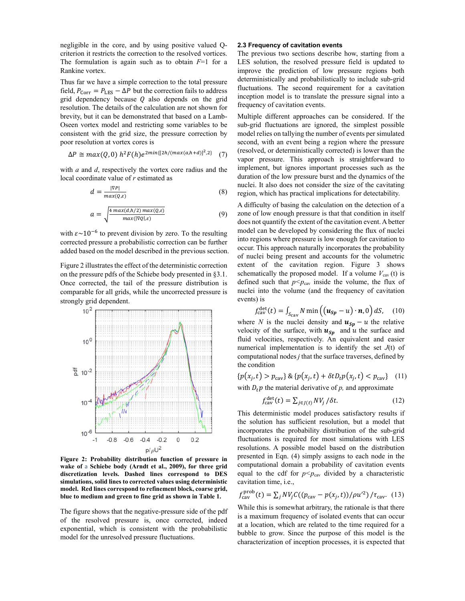negligible in the core, and by using positive valued Qcriterion it restricts the correction to the resolved vortices. The formulation is again such as to obtain *F*=1 for a Rankine vortex.

Thus far we have a simple correction to the total pressure field,  $P_{\text{Corr}} = P_{\text{LES}} - \Delta P$  but the correction fails to address grid dependency because  $Q$  also depends on the grid resolution. The details of the calculation are not shown for brevity, but it can be demonstrated that based on a Lamb-Oseen vortex model and restricting some variables to be consistent with the grid size, the pressure correction by poor resolution at vortex cores is

$$
\Delta P \cong max(Q, 0) \; h^2 F(h) e^{2min\{[2h/(max(a, h+d)]^2, 2\}} \quad (7)
$$

with *a* and *d*, respectively the vortex core radius and the local coordinate value of *r* estimated as

$$
d = \frac{|\nabla P|}{\max(Q, \varepsilon)}\tag{8}
$$

$$
a = \sqrt{\frac{4 \max(d, h/2) \max(Q, \varepsilon)}{\max(|\nabla Q|, \varepsilon)}}\tag{9}
$$

with  $\varepsilon \sim 10^{-6}$  to prevent division by zero. To the resulting corrected pressure a probabilistic correction can be further added based on the model described in the previous section.

Figure 2 illustrates the effect of the deterministic correction on the pressure pdfs of the Schiebe body presented in §3.1. Once corrected, the tail of the pressure distribution is comparable for all grids, while the uncorrected pressure is strongly grid dependent.



**Figure 2: Probability distribution function of pressure in wake of** a **Schiebe body (Arndt et al., 2009), for three grid discretization levels. Dashed lines correspond to DES simulations, solid lines to corrected values using deterministic model. Red lines correspond to refinement block, coarse grid, blue to medium and green to fine grid as shown in Table 1.**

The figure shows that the negative-pressure side of the pdf of the resolved pressure is, once corrected, indeed exponential, which is consistent with the probabilistic model for the unresolved pressure fluctuations.

# **2.3 Frequency of cavitation events**

The previous two sections describe how, starting from a LES solution, the resolved pressure field is updated to improve the prediction of low pressure regions both deterministically and probabilistically to include sub-grid fluctuations. The second requirement for a cavitation inception model is to translate the pressure signal into a frequency of cavitation events.

Multiple different approaches can be considered. If the sub-grid fluctuations are ignored, the simplest possible model relies on tallying the number of events per simulated second, with an event being a region where the pressure (resolved, or deterministically corrected) is lower than the vapor pressure. This approach is straightforward to implement, but ignores important processes such as the duration of the low pressure burst and the dynamics of the nuclei. It also does not consider the size of the cavitating region, which has practical implications for detectability.

A difficulty of basing the calculation on the detection of a zone of low enough pressure is that that condition in itself does not quantify the extent of the cavitation event. A better model can be developed by considering the flux of nuclei into regions where pressure is low enough for cavitation to occur. This approach naturally incorporates the probability of nuclei being present and accounts for the volumetric extent of the cavitation region. Figure 3 shows schematically the proposed model. If a volume  $V_{\text{cav}}(t)$  is defined such that  $p < p_{\text{cav}}$  inside the volume, the flux of nuclei into the volume (and the frequency of cavitation events) is

$$
f_{\text{cav}}^{\text{det}}(t) = \int_{S_{\text{cav}}} N \min\left( (\mathbf{u}_{\text{Sp}} - u) \cdot \mathbf{n}, 0 \right) dS, \quad (10)
$$

where *N* is the nuclei density and  $u_{Sp} - u$  the relative velocity of the surface, with  $u_{\text{Sp}}$  and u the surface and fluid velocities, respectively. An equivalent and easier numerical implementation is to identify the set *J*(t) of computational nodes *j* that the surface traverses, defined by the condition

 ${p(x_i, t) > p_{\text{cav}}}$  &  ${p(x_i, t) + \delta t D_t p(x_i, t) < p_{\text{cav}}}$  (11) with  $D_t p$  the material derivative of  $p$ , and approximate

$$
f_{\text{cav}}^{\text{det}}(t) = \sum_{j \in J(t)} N V_j / \delta t. \tag{12}
$$

This deterministic model produces satisfactory results if the solution has sufficient resolution, but a model that incorporates the probability distribution of the sub-grid fluctuations is required for most simulations with LES resolutions. A possible model based on the distribution presented in Eqn. (4) simply assigns to each node in the computational domain a probability of cavitation events equal to the cdf for  $p < p_{\text{cav}}$  divided by a characteristic cavitation time, i.e.,

$$
f_{\text{cav}}^{\text{prob}}(t) = \sum_{j} N V_j C((p_{\text{cav}} - p(x_j, t))/\rho u^2) / \tau_{\text{cav}}.
$$
 (13)

While this is somewhat arbitrary, the rationale is that there is a maximum frequency of isolated events that can occur at a location, which are related to the time required for a bubble to grow. Since the purpose of this model is the characterization of inception processes, it is expected that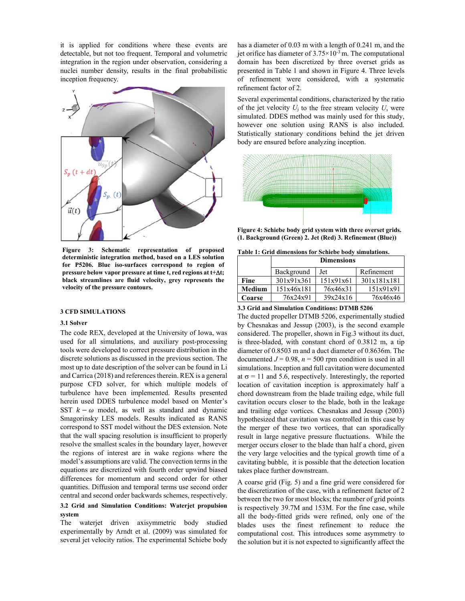it is applied for conditions where these events are detectable, but not too frequent. Temporal and volumetric integration in the region under observation, considering a nuclei number density, results in the final probabilistic inception frequency.



**Figure 3: Schematic representation of proposed deterministic integration method, based on a LES solution for P5206. Blue iso-surfaces correspond to region of pressure below vapor pressure at time t, red regions at t+t; black streamlines are fluid velocity, grey represents the velocity of the pressure contours.** 

#### **3 CFD SIMULATIONS**

#### **3.1 Solver**

The code REX, developed at the University of Iowa, was used for all simulations, and auxiliary post-processing tools were developed to correct pressure distribution in the discrete solutions as discussed in the previous section. The most up to date description of the solver can be found in Li and Carrica (2018) and references therein. REX is a general purpose CFD solver, for which multiple models of turbulence have been implemented. Results presented herein used DDES turbulence model based on Menter's SST  $k - \omega$  model, as well as standard and dynamic Smagorinsky LES models. Results indicated as RANS correspond to SST model without the DES extension. Note that the wall spacing resolution is insufficient to properly resolve the smallest scales in the boundary layer, however the regions of interest are in wake regions where the model's assumptions are valid. The convection terms in the equations are discretized with fourth order upwind biased differences for momentum and second order for other quantities. Diffusion and temporal terms use second order central and second order backwards schemes, respectively.

# **3.2 Grid and Simulation Conditions: Waterjet propulsion system**

The waterjet driven axisymmetric body studied experimentally by Arndt et al. (2009) was simulated for several jet velocity ratios. The experimental Schiebe body has a diameter of 0.03 m with a length of 0.241 m, and the jet orifice has diameter of  $3.75 \times 10^{-3}$  m. The computational domain has been discretized by three overset grids as presented in Table 1 and shown in Figure 4. Three levels of refinement were considered, with a systematic refinement factor of 2.

Several experimental conditions, characterized by the ratio of the jet velocity  $U_i$  to the free stream velocity  $U$ , were simulated. DDES method was mainly used for this study, however one solution using RANS is also included. Statistically stationary conditions behind the jet driven body are ensured before analyzing inception.



**Figure 4: Schiebe body grid system with three overset grids. (1. Background (Green) 2. Jet (Red) 3. Refinement (Blue))** 

|  |  |  | Table 1: Grid dimensions for Schiebe body simulations. |
|--|--|--|--------------------------------------------------------|
|  |  |  |                                                        |

|        | <b>Dimensions</b> |           |             |  |  |  |
|--------|-------------------|-----------|-------------|--|--|--|
|        | Background        | Jet       | Refinement  |  |  |  |
| Fine   | 301x91x361        | 151x91x61 | 301x181x181 |  |  |  |
| Medium | 151x46x181        | 76x46x31  | 151x91x91   |  |  |  |
| Coarse | 76x24x91          | 39x24x16  | 76x46x46    |  |  |  |

**3.3 Grid and Simulation Conditions: DTMB 5206** 

The ducted propeller DTMB 5206, experimentally studied by Chesnakas and Jessup (2003), is the second example considered. The propeller, shown in Fig.3 without its duct, is three-bladed, with constant chord of 0.3812 m, a tip diameter of 0.8503 m and a duct diameter of 0.8636m. The documented  $J = 0.98$ ,  $n = 500$  rpm condition is used in all simulations. Inception and full cavitation were documented at  $\sigma$  = 11 and 5.6, respectively. Interestingly, the reported location of cavitation inception is approximately half a chord downstream from the blade trailing edge, while full cavitation occurs closer to the blade, both in the leakage and trailing edge vortices. Chesnakas and Jessup (2003) hypothesized that cavitation was controlled in this case by the merger of these two vortices, that can sporadically result in large negative pressure fluctuations. While the merger occurs closer to the blade than half a chord, given the very large velocities and the typical growth time of a cavitating bubble, it is possible that the detection location takes place further downstream.

A coarse grid (Fig. 5) and a fine grid were considered for the discretization of the case, with a refinement factor of 2 between the two for most blocks; the number of grid points is respectively 39.7M and 153M. For the fine case, while all the body-fitted grids were refined, only one of the blades uses the finest refinement to reduce the computational cost. This introduces some asymmetry to the solution but it is not expected to significantly affect the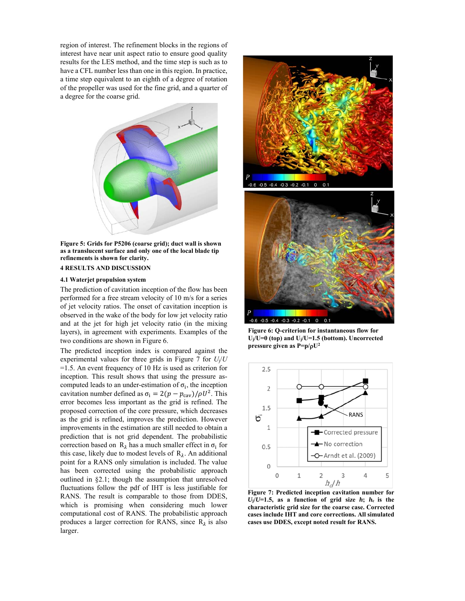region of interest. The refinement blocks in the regions of interest have near unit aspect ratio to ensure good quality results for the LES method, and the time step is such as to have a CFL number less than one in this region. In practice, a time step equivalent to an eighth of a degree of rotation of the propeller was used for the fine grid, and a quarter of a degree for the coarse grid.



**Figure 5: Grids for P5206 (coarse grid); duct wall is shown as a translucent surface and only one of the local blade tip refinements is shown for clarity.** 

#### **4 RESULTS AND DISCUSSION**

#### **4.1 Waterjet propulsion system**

The prediction of cavitation inception of the flow has been performed for a free stream velocity of 10 m/s for a series of jet velocity ratios. The onset of cavitation inception is observed in the wake of the body for low jet velocity ratio and at the jet for high jet velocity ratio (in the mixing layers), in agreement with experiments. Examples of the two conditions are shown in Figure 6.

The predicted inception index is compared against the experimental values for three grids in Figure 7 for *U*j/*U* =1.5. An event frequency of 10 Hz is used as criterion for inception. This result shows that using the pressure ascomputed leads to an under-estimation of  $\sigma_i$ , the inception cavitation number defined as  $\sigma_i = 2(p - p_{\text{cav}})/\rho U^2$ . This error becomes less important as the grid is refined. The proposed correction of the core pressure, which decreases as the grid is refined, improves the prediction. However improvements in the estimation are still needed to obtain a prediction that is not grid dependent. The probabilistic correction based on  $R_{\lambda}$  has a much smaller effect in  $\sigma_i$  for this case, likely due to modest levels of  $R_{\lambda}$ . An additional point for a RANS only simulation is included. The value has been corrected using the probabilistic approach outlined in §2.1; though the assumption that unresolved fluctuations follow the pdf of IHT is less justifiable for RANS. The result is comparable to those from DDES, which is promising when considering much lower computational cost of RANS. The probabilistic approach produces a larger correction for RANS, since  $R_{\lambda}$  is also larger.



**Figure 6: Q-criterion for instantaneous flow for Uj/U=0 (top) and Uj/U=1.5 (bottom). Uncorrected pressure given as P=p/U2** 



**Figure 7: Predicted inception cavitation number for**  $U_j/U=1.5$ , as a function of grid size  $h$ ;  $h_c$  is the **characteristic grid size for the coarse case. Corrected cases include IHT and core corrections. All simulated cases use DDES, except noted result for RANS.**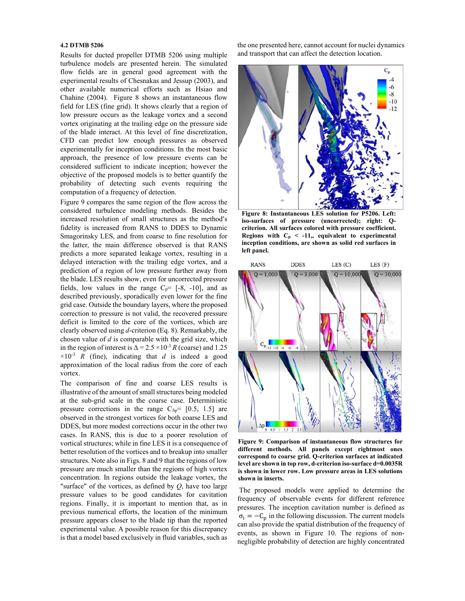## **4.2 DTMB 5206**

Results for ducted propeller DTMB 5206 using multiple turbulence models are presented herein. The simulated flow fields are in general good agreement with the experimental results of Chesnakas and Jessup (2003), and other available numerical efforts such as Hsiao and Chahine (2004). Figure 8 shows an instantaneous flow field for LES (fine grid). It shows clearly that a region of low pressure occurs as the leakage vortex and a second vortex originating at the trailing edge on the pressure side of the blade interact. At this level of fine discretization, CFD can predict low enough pressures as observed experimentally for inception conditions. In the most basic approach, the presence of low pressure events can be considered sufficient to indicate inception; however the objective of the proposed models is to better quantify the probability of detecting such events requiring the computation of a frequency of detection.

Figure 9 compares the same region of the flow across the considered turbulence modeling methods. Besides the increased resolution of small structures as the method's fidelity is increased from RANS to DDES to Dynamic Smagorinsky LES, and from coarse to fine resolution for the latter, the main difference observed is that RANS predicts a more separated leakage vortex, resulting in a delayed interaction with the trailing edge vortex, and a prediction of a region of low pressure further away from the blade. LES results show, even for uncorrected pressure fields, low values in the range  $C_p = [-8, -10]$ , and as described previously, sporadically even lower for the fine grid case. Outside the boundary layers, where the proposed correction to pressure is not valid, the recovered pressure deficit is limited to the core of the vortices, which are clearly observed using *d*-criterion (Eq. 8). Remarkably, the chosen value of *d* is comparable with the grid size, which in the region of interest is  $\Delta = 2.5 \times 10^{-3} R$  (coarse) and 1.25  $\times 10^{-3}$  *R* (fine), indicating that *d* is indeed a good approximation of the local radius from the core of each vortex.

The comparison of fine and coarse LES results is illustrative of the amount of small structures being modeled at the sub-grid scale in the coarse case. Deterministic pressure corrections in the range  $C_{\Delta p}$ = [0.5, 1.5] are observed in the strongest vortices for both coarse LES and DDES, but more modest corrections occur in the other two cases. In RANS, this is due to a poorer resolution of vortical structures; while in fine LES it is a consequence of better resolution of the vortices and to breakup into smaller structures. Note also in Figs. 8 and 9 that the regions of low pressure are much smaller than the regions of high vortex concentration. In regions outside the leakage vortex, the "surface" of the vortices, as defined by *Q*, have too large pressure values to be good candidates for cavitation regions. Finally, it is important to mention that, as in previous numerical efforts, the location of the minimum pressure appears closer to the blade tip than the reported experimental value. A possible reason for this discrepancy is that a model based exclusively in fluid variables, such as the one presented here, cannot account for nuclei dynamics and transport that can affect the detection location.



**Figure 8: Instantaneous LES solution for P5206. Left: iso-surfaces of pressure (uncorrected); right: Qcriterion. All surfaces colored with pressure coefficient.**  Regions with  $C_p < -11$ , equivalent to experimental **inception conditions, are shown as solid red surfaces in left panel.**



**Figure 9: Comparison of instantaneous flow structures for different methods. All panels except rightmost ones correspond to coarse grid. Q-criterion surfaces at indicated level are shown in top row, d-criterion iso-surface d=0.0035R is shown in lower row. Low pressure areas in LES solutions shown in inserts.** 

 The proposed models were applied to determine the frequency of observable events for different reference pressures. The inception cavitation number is defined as  $\sigma_i = -C_p$  in the following discussion. The current models can also provide the spatial distribution of the frequency of events, as shown in Figure 10. The regions of nonnegligible probability of detection are highly concentrated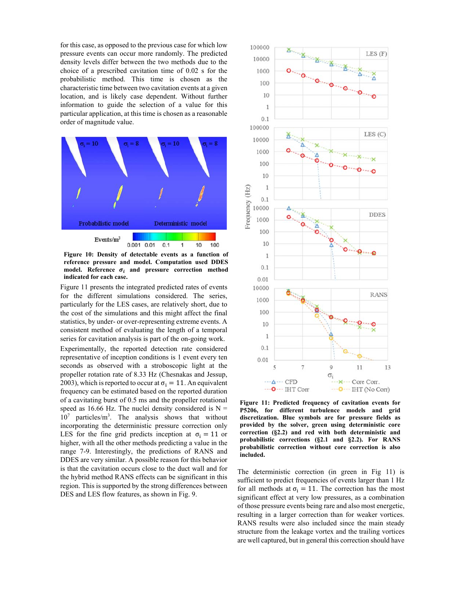for this case, as opposed to the previous case for which low pressure events can occur more randomly. The predicted density levels differ between the two methods due to the choice of a prescribed cavitation time of 0.02 s for the probabilistic method. This time is chosen as the characteristic time between two cavitation events at a given location, and is likely case dependent. Without further information to guide the selection of a value for this particular application, at this time is chosen as a reasonable order of magnitude value.



**Figure 10: Density of detectable events as a function of reference pressure and model. Computation used DDES** model. Reference  $\sigma_i$  and pressure correction method **indicated for each case.**

Figure 11 presents the integrated predicted rates of events for the different simulations considered. The series, particularly for the LES cases, are relatively short, due to the cost of the simulations and this might affect the final statistics, by under- or over-representing extreme events. A consistent method of evaluating the length of a temporal series for cavitation analysis is part of the on-going work.

Experimentally, the reported detection rate considered representative of inception conditions is 1 event every ten seconds as observed with a stroboscopic light at the propeller rotation rate of 8.33 Hz (Chesnakas and Jessup, 2003), which is reported to occur at  $\sigma_i = 11$ . An equivalent frequency can be estimated based on the reported duration of a cavitating burst of 0.5 ms and the propeller rotational speed as 16.66 Hz. The nuclei density considered is  $N =$ 107 particles/m3 . The analysis shows that without incorporating the deterministic pressure correction only LES for the fine grid predicts inception at  $\sigma_i = 11$  or higher, with all the other methods predicting a value in the range 7-9. Interestingly, the predictions of RANS and DDES are very similar. A possible reason for this behavior is that the cavitation occurs close to the duct wall and for the hybrid method RANS effects can be significant in this region. This is supported by the strong differences between DES and LES flow features, as shown in Fig. 9.



**Figure 11: Predicted frequency of cavitation events for P5206, for different turbulence models and grid discretization. Blue symbols are for pressure fields as provided by the solver, green using deterministic core correction (§2.2) and red with both deterministic and probabilistic corrections (§2.1 and §2.2). For RANS probabilistic correction without core correction is also included.**

The deterministic correction (in green in Fig 11) is sufficient to predict frequencies of events larger than 1 Hz for all methods at  $\sigma_i = 11$ . The correction has the most significant effect at very low pressures, as a combination of those pressure events being rare and also most energetic, resulting in a larger correction than for weaker vortices. RANS results were also included since the main steady structure from the leakage vortex and the trailing vortices are well captured, but in general this correction should have